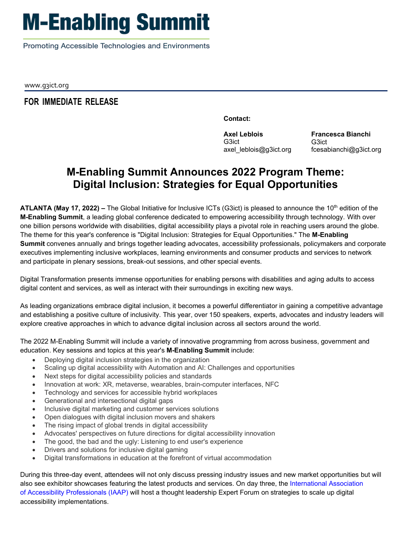## **M-Enabling Summit**

Promoting Accessible Technologies and Environments

www.g3ict.org

## **FOR IMMEDIATE RELEASE**

**Contact:** 

**Axel Leblois**  G3ict axel\_leblois@g3ict.org

**Francesca Bianchi**  G3ict fcesabianchi@g3ict.org

## **M-Enabling Summit Announces 2022 Program Theme: Digital Inclusion: Strategies for Equal Opportunities**

**ATLANTA (May 17, 2022) –** The Global Initiative for Inclusive ICTs (G3ict) is pleased to announce the 10th edition of the **M-Enabling Summit**, a leading global conference dedicated to empowering accessibility through technology. With over one billion persons worldwide with disabilities, digital accessibility plays a pivotal role in reaching users around the globe. The theme for this year's conference is "Digital Inclusion: Strategies for Equal Opportunities." The **M-Enabling Summit** convenes annually and brings together leading advocates, accessibility professionals, policymakers and corporate executives implementing inclusive workplaces, learning environments and consumer products and services to network and participate in plenary sessions, break-out sessions, and other special events.

 digital content and services, as well as interact with their surroundings in exciting new ways. Digital Transformation presents immense opportunities for enabling persons with disabilities and aging adults to access

 As leading organizations embrace digital inclusion, it becomes a powerful differentiator in gaining a competitive advantage and establishing a positive culture of inclusivity. This year, over 150 speakers, experts, advocates and industry leaders will explore creative approaches in which to advance digital inclusion across all sectors around the world.

The 2022 M-Enabling Summit will include a variety of innovative programming from across business, government and education. Key sessions and topics at this year's **M-Enabling Summit** include:

- Deploying digital inclusion strategies in the organization
- Scaling up digital accessibility with Automation and AI: Challenges and opportunities
- Next steps for digital accessibility policies and standards
- Innovation at work: XR, metaverse, wearables, brain-computer interfaces, NFC
- Technology and services for accessible hybrid workplaces
- Generational and intersectional digital gaps
- Inclusive digital marketing and customer services solutions
- Open dialogues with digital inclusion movers and shakers
- The rising impact of global trends in digital accessibility
- Advocates' perspectives on future directions for digital accessibility innovation
- The good, the bad and the ugly: Listening to end user's experience
- Drivers and solutions for inclusive digital gaming
- Digital transformations in education at the forefront of virtual accommodation

During this three-day event, attendees will not only discuss pressing industry issues and new market opportunities but will also see exhibitor showcases featuring the latest products and services. On day three, the International Association of Accessibility Professionals (IAAP) will host a thought leadership Expert Forum on strategies to scale up digital accessibility implementations.